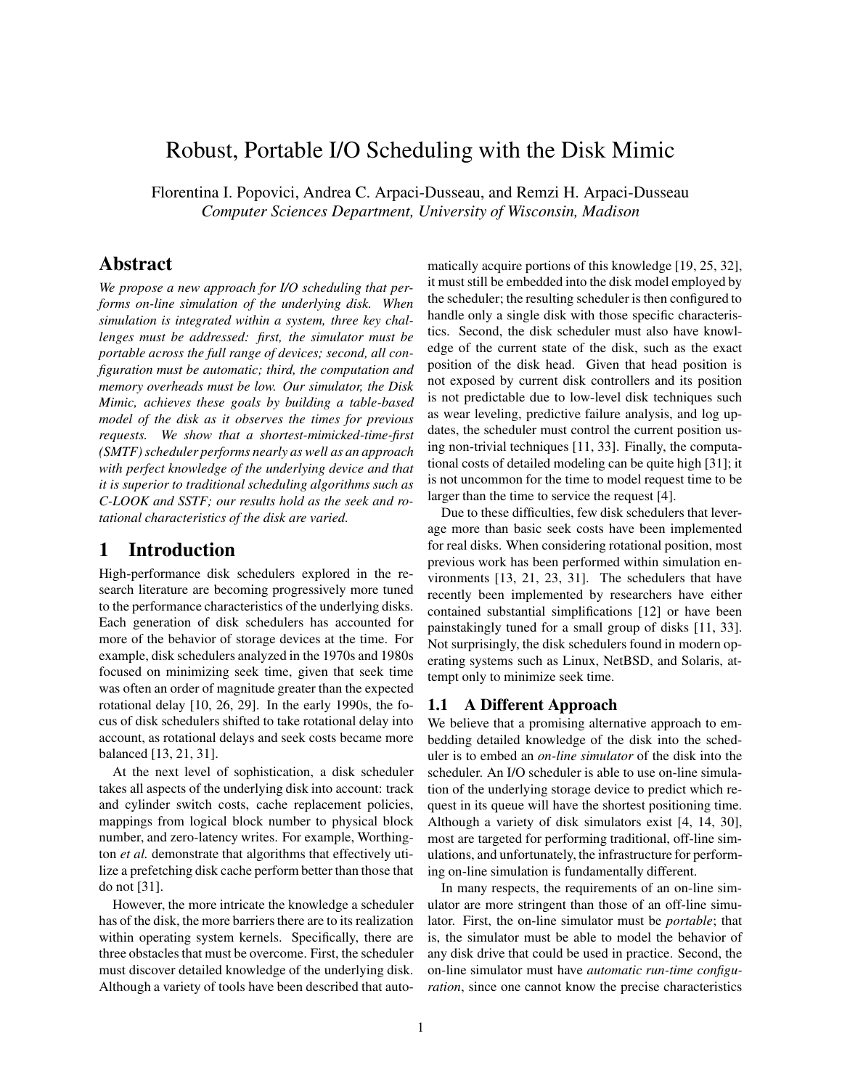# Robust, Portable I/O Scheduling with the Disk Mimic

Florentina I. Popovici, Andrea C. Arpaci-Dusseau, and Remzi H. Arpaci-Dusseau *Computer Sciences Department, University of Wisconsin, Madison*

## **Abstract**

*We propose a new approach for I/O scheduling that performs on-line simulation of the underlying disk. When simulation is integrated within a system, three key challenges must be addressed: first, the simulator must be portable across the full range of devices; second, all configuration must be automatic; third, the computation and memory overheads must be low. Our simulator, the Disk Mimic, achieves these goals by building a table-based model of the disk as it observes the times for previous requests. We show that a shortest-mimicked-time-first (SMTF)scheduler performs nearly as well as an approach with perfect knowledge of the underlying device and that it is superior to traditional scheduling algorithms such as C-LOOK and SSTF; our results hold as the seek and rotational characteristics of the disk are varied.*

### **1 Introduction**

High-performance disk schedulers explored in the research literature are becoming progressively more tuned to the performance characteristics of the underlying disks. Each generation of disk schedulers has accounted for more of the behavior of storage devices at the time. For example, disk schedulers analyzed in the 1970s and 1980s focused on minimizing seek time, given that seek time was often an order of magnitude greater than the expected rotational delay [10, 26, 29]. In the early 1990s, the focus of disk schedulers shifted to take rotational delay into account, as rotational delays and seek costs became more balanced [13, 21, 31].

At the next level of sophistication, a disk scheduler takes all aspects of the underlying disk into account: track and cylinder switch costs, cache replacement policies, mappings from logical block number to physical block number, and zero-latency writes. For example, Worthington *et al.* demonstrate that algorithms that effectively utilize a prefetching disk cache perform better than those that do not [31].

However, the more intricate the knowledge a scheduler has of the disk, the more barriers there are to its realization within operating system kernels. Specifically, there are three obstacles that must be overcome. First, the scheduler must discover detailed knowledge of the underlying disk. Although a variety of tools have been described that automatically acquire portions of this knowledge [19, 25, 32], it must still be embedded into the disk model employed by the scheduler; the resulting scheduler is then configured to handle only a single disk with those specific characteristics. Second, the disk scheduler must also have knowledge of the current state of the disk, such as the exact position of the disk head. Given that head position is not exposed by current disk controllers and its position is not predictable due to low-level disk techniques such as wear leveling, predictive failure analysis, and log updates, the scheduler must control the current position using non-trivial techniques [11, 33]. Finally, the computational costs of detailed modeling can be quite high [31]; it is not uncommon for the time to model request time to be larger than the time to service the request [4].

Due to these difficulties, few disk schedulers that leverage more than basic seek costs have been implemented for real disks. When considering rotational position, most previous work has been performed within simulation environments [13, 21, 23, 31]. The schedulers that have recently been implemented by researchers have either contained substantial simplifications [12] or have been painstakingly tuned for a small group of disks [11, 33]. Not surprisingly, the disk schedulers found in modern operating systems such as Linux, NetBSD, and Solaris, attempt only to minimize seek time.

### **1.1 A Different Approach**

We believe that a promising alternative approach to embedding detailed knowledge of the disk into the scheduler is to embed an *on-line simulator* of the disk into the scheduler. An I/O scheduler is able to use on-line simulation of the underlying storage device to predict which request in its queue will have the shortest positioning time. Although a variety of disk simulators exist [4, 14, 30], most are targeted for performing traditional, off-line simulations, and unfortunately, the infrastructure for performing on-line simulation is fundamentally different.

In many respects, the requirements of an on-line simulator are more stringent than those of an off-line simulator. First, the on-line simulator must be *portable*; that is, the simulator must be able to model the behavior of any disk drive that could be used in practice. Second, the on-line simulator must have *automatic run-time configuration*, since one cannot know the precise characteristics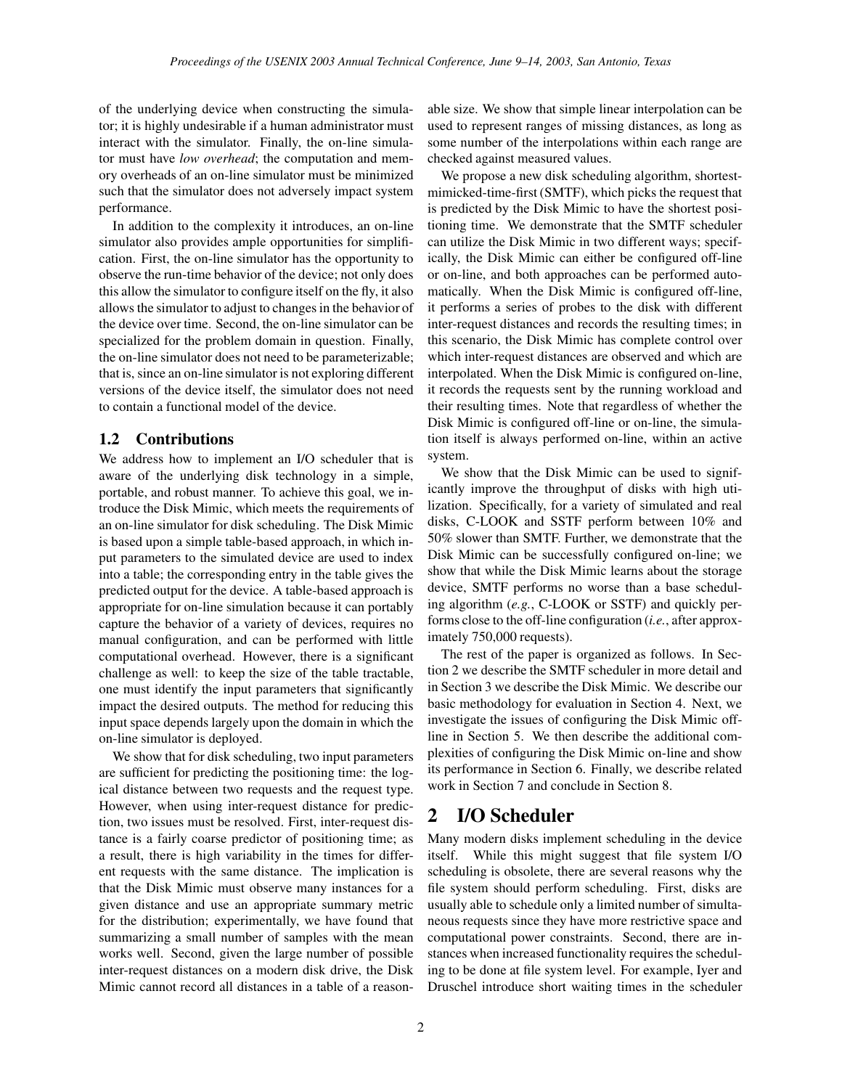of the underlying device when constructing the simulator; it is highly undesirable if a human administrator must interact with the simulator. Finally, the on-line simulator must have *low overhead*; the computation and memory overheads of an on-line simulator must be minimized such that the simulator does not adversely impact system performance.

In addition to the complexity it introduces, an on-line simulator also provides ample opportunities for simplification. First, the on-line simulator has the opportunity to observe the run-time behavior of the device; not only does this allow the simulator to configure itself on the fly, it also allows the simulator to adjust to changes in the behavior of the device over time. Second, the on-line simulator can be specialized for the problem domain in question. Finally, the on-line simulator does not need to be parameterizable; that is, since an on-line simulator is not exploring different versions of the device itself, the simulator does not need to contain a functional model of the device.

### **1.2 Contributions**

We address how to implement an I/O scheduler that is aware of the underlying disk technology in a simple, portable, and robust manner. To achieve this goal, we introduce the Disk Mimic, which meets the requirements of an on-line simulator for disk scheduling. The Disk Mimic is based upon a simple table-based approach, in which input parameters to the simulated device are used to index into a table; the corresponding entry in the table gives the predicted output for the device. A table-based approach is appropriate for on-line simulation because it can portably capture the behavior of a variety of devices, requires no manual configuration, and can be performed with little computational overhead. However, there is a significant challenge as well: to keep the size of the table tractable, one must identify the input parameters that significantly impact the desired outputs. The method for reducing this input space depends largely upon the domain in which the on-line simulator is deployed.

We show that for disk scheduling, two input parameters are sufficient for predicting the positioning time: the logical distance between two requests and the request type. However, when using inter-request distance for prediction, two issues must be resolved. First, inter-request distance is a fairly coarse predictor of positioning time; as a result, there is high variability in the times for different requests with the same distance. The implication is that the Disk Mimic must observe many instances for a given distance and use an appropriate summary metric for the distribution; experimentally, we have found that summarizing a small number of samples with the mean works well. Second, given the large number of possible inter-request distances on a modern disk drive, the Disk Mimic cannot record all distances in a table of a reason-

able size. We show that simple linear interpolation can be used to represent ranges of missing distances, as long as some number of the interpolations within each range are checked against measured values.

We propose a new disk scheduling algorithm, shortestmimicked-time-first (SMTF), which picks the request that is predicted by the Disk Mimic to have the shortest positioning time. We demonstrate that the SMTF scheduler can utilize the Disk Mimic in two different ways; specifically, the Disk Mimic can either be configured off-line or on-line, and both approaches can be performed automatically. When the Disk Mimic is configured off-line, it performs a series of probes to the disk with different inter-request distances and records the resulting times; in this scenario, the Disk Mimic has complete control over which inter-request distances are observed and which are interpolated. When the Disk Mimic is configured on-line, it records the requests sent by the running workload and their resulting times. Note that regardless of whether the Disk Mimic is configured off-line or on-line, the simulation itself is always performed on-line, within an active system.

We show that the Disk Mimic can be used to significantly improve the throughput of disks with high utilization. Specifically, for a variety of simulated and real disks, C-LOOK and SSTF perform between 10% and 50% slower than SMTF. Further, we demonstrate that the Disk Mimic can be successfully configured on-line; we show that while the Disk Mimic learns about the storage device, SMTF performs no worse than a base scheduling algorithm (*e.g.*, C-LOOK or SSTF) and quickly performs close to the off-line configuration (*i.e.*, after approximately 750,000 requests).

The rest of the paper is organized as follows. In Section 2 we describe the SMTF scheduler in more detail and in Section 3 we describe the Disk Mimic. We describe our basic methodology for evaluation in Section 4. Next, we investigate the issues of configuring the Disk Mimic offline in Section 5. We then describe the additional complexities of configuring the Disk Mimic on-line and show its performance in Section 6. Finally, we describe related work in Section 7 and conclude in Section 8.

## **2 I/O Scheduler**

Many modern disks implement scheduling in the device itself. While this might suggest that file system I/O scheduling is obsolete, there are several reasons why the file system should perform scheduling. First, disks are usually able to schedule only a limited number of simultaneous requests since they have more restrictive space and computational power constraints. Second, there are instances when increased functionality requires the scheduling to be done at file system level. For example, Iyer and Druschel introduce short waiting times in the scheduler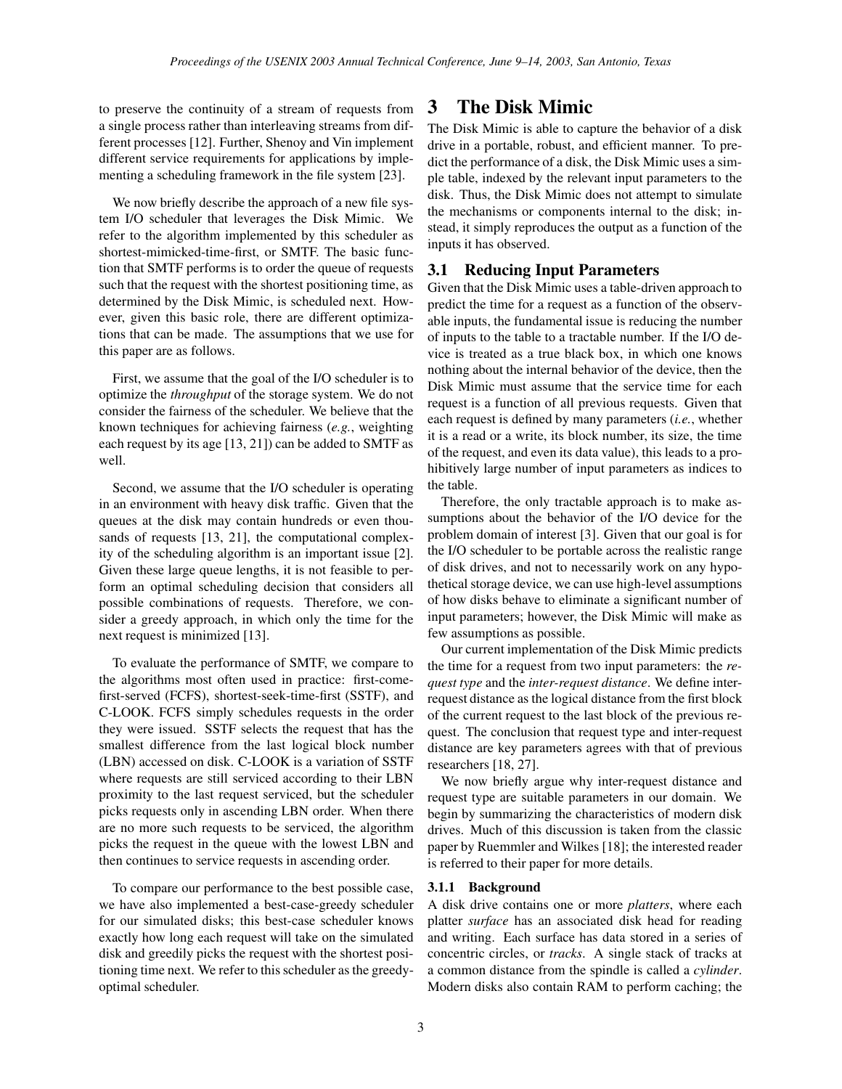to preserve the continuity of a stream of requests from a single process rather than interleaving streams from different processes [12]. Further, Shenoy and Vin implement different service requirements for applications by implementing a scheduling framework in the file system [23].

We now briefly describe the approach of a new file system I/O scheduler that leverages the Disk Mimic. We refer to the algorithm implemented by this scheduler as shortest-mimicked-time-first, or SMTF. The basic function that SMTF performs is to order the queue of requests such that the request with the shortest positioning time, as determined by the Disk Mimic, is scheduled next. However, given this basic role, there are different optimizations that can be made. The assumptions that we use for this paper are as follows.

First, we assume that the goal of the I/O scheduler is to optimize the *throughput* of the storage system. We do not consider the fairness of the scheduler. We believe that the known techniques for achieving fairness (*e.g.*, weighting each request by its age [13, 21]) can be added to SMTF as well.

Second, we assume that the I/O scheduler is operating in an environment with heavy disk traffic. Given that the queues at the disk may contain hundreds or even thousands of requests [13, 21], the computational complexity of the scheduling algorithm is an important issue [2]. Given these large queue lengths, it is not feasible to perform an optimal scheduling decision that considers all possible combinations of requests. Therefore, we consider a greedy approach, in which only the time for the next request is minimized [13].

To evaluate the performance of SMTF, we compare to the algorithms most often used in practice: first-comefirst-served (FCFS), shortest-seek-time-first (SSTF), and C-LOOK. FCFS simply schedules requests in the order they were issued. SSTF selects the request that has the smallest difference from the last logical block number (LBN) accessed on disk. C-LOOK is a variation of SSTF where requests are still serviced according to their LBN proximity to the last request serviced, but the scheduler picks requests only in ascending LBN order. When there are no more such requests to be serviced, the algorithm picks the request in the queue with the lowest LBN and then continues to service requests in ascending order.

To compare our performance to the best possible case, we have also implemented a best-case-greedy scheduler for our simulated disks; this best-case scheduler knows exactly how long each request will take on the simulated disk and greedily picks the request with the shortest positioning time next. We refer to this scheduler as the greedyoptimal scheduler.

## **3 The Disk Mimic**

The Disk Mimic is able to capture the behavior of a disk drive in a portable, robust, and efficient manner. To predict the performance of a disk, the Disk Mimic uses a simple table, indexed by the relevant input parameters to the disk. Thus, the Disk Mimic does not attempt to simulate the mechanisms or components internal to the disk; instead, it simply reproduces the output as a function of the inputs it has observed.

### **3.1 Reducing Input Parameters**

Given that the Disk Mimic uses a table-driven approach to predict the time for a request as a function of the observable inputs, the fundamental issue is reducing the number of inputs to the table to a tractable number. If the I/O device is treated as a true black box, in which one knows nothing about the internal behavior of the device, then the Disk Mimic must assume that the service time for each request is a function of all previous requests. Given that each request is defined by many parameters (*i.e.*, whether it is a read or a write, its block number, its size, the time of the request, and even its data value), this leads to a prohibitively large number of input parameters as indices to the table.

Therefore, the only tractable approach is to make assumptions about the behavior of the I/O device for the problem domain of interest [3]. Given that our goal is for the I/O scheduler to be portable across the realistic range of disk drives, and not to necessarily work on any hypothetical storage device, we can use high-level assumptions of how disks behave to eliminate a significant number of input parameters; however, the Disk Mimic will make as few assumptions as possible.

Our current implementation of the Disk Mimic predicts the time for a request from two input parameters: the *request type* and the *inter-request distance*. We define interrequest distance as the logical distance from the first block of the current request to the last block of the previous request. The conclusion that request type and inter-request distance are key parameters agrees with that of previous researchers [18, 27].

We now briefly argue why inter-request distance and request type are suitable parameters in our domain. We begin by summarizing the characteristics of modern disk drives. Much of this discussion is taken from the classic paper by Ruemmler and Wilkes [18]; the interested reader is referred to their paper for more details.

#### **3.1.1 Background**

A disk drive contains one or more *platters*, where each platter *surface* has an associated disk head for reading and writing. Each surface has data stored in a series of concentric circles, or *tracks*. A single stack of tracks at a common distance from the spindle is called a *cylinder*. Modern disks also contain RAM to perform caching; the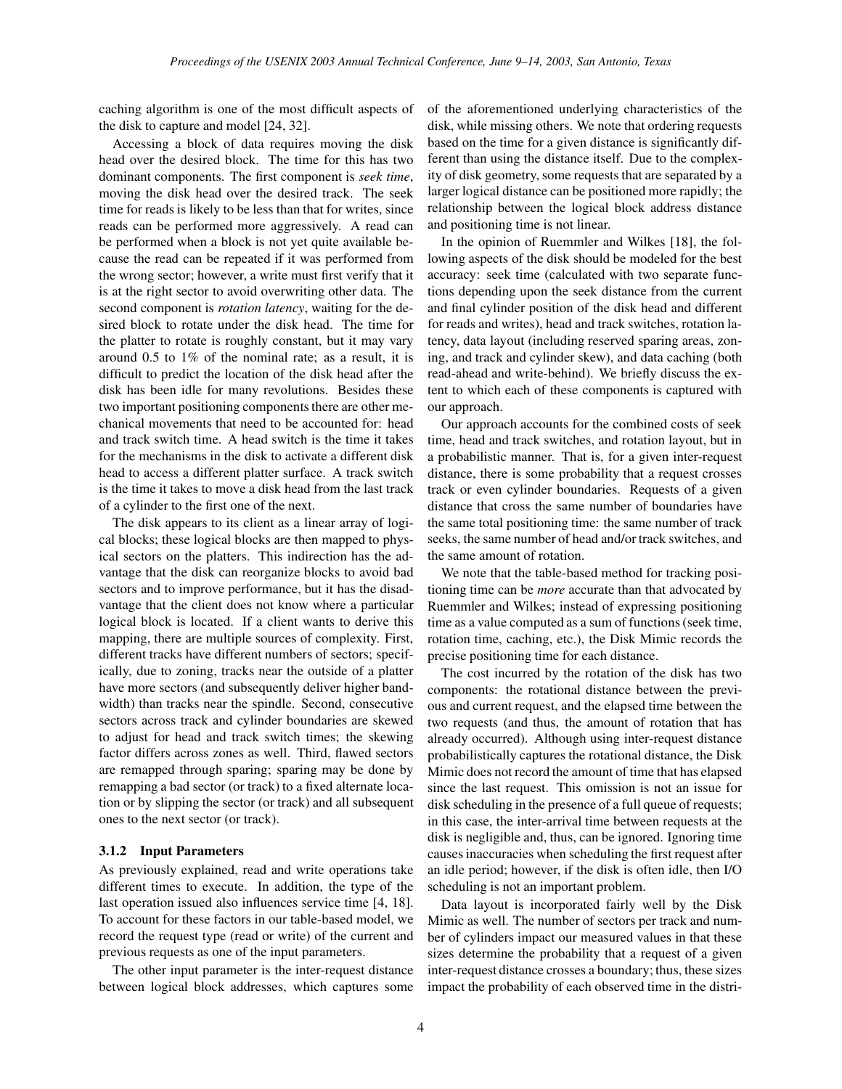caching algorithm is one of the most difficult aspects of the disk to capture and model [24, 32].

Accessing a block of data requires moving the disk head over the desired block. The time for this has two dominant components. The first component is *seek time*, moving the disk head over the desired track. The seek time for reads is likely to be less than that for writes, since reads can be performed more aggressively. A read can be performed when a block is not yet quite available because the read can be repeated if it was performed from the wrong sector; however, a write must first verify that it is at the right sector to avoid overwriting other data. The second component is *rotation latency*, waiting for the desired block to rotate under the disk head. The time for the platter to rotate is roughly constant, but it may vary around 0.5 to 1% of the nominal rate; as a result, it is difficult to predict the location of the disk head after the disk has been idle for many revolutions. Besides these two important positioning components there are other mechanical movements that need to be accounted for: head and track switch time. A head switch is the time it takes for the mechanisms in the disk to activate a different disk head to access a different platter surface. A track switch is the time it takes to move a disk head from the last track of a cylinder to the first one of the next.

The disk appears to its client as a linear array of logical blocks; these logical blocks are then mapped to physical sectors on the platters. This indirection has the advantage that the disk can reorganize blocks to avoid bad sectors and to improve performance, but it has the disadvantage that the client does not know where a particular logical block is located. If a client wants to derive this mapping, there are multiple sources of complexity. First, different tracks have different numbers of sectors; specifically, due to zoning, tracks near the outside of a platter have more sectors (and subsequently deliver higher bandwidth) than tracks near the spindle. Second, consecutive sectors across track and cylinder boundaries are skewed to adjust for head and track switch times; the skewing factor differs across zones as well. Third, flawed sectors are remapped through sparing; sparing may be done by remapping a bad sector (or track) to a fixed alternate location or by slipping the sector (or track) and all subsequent ones to the next sector (or track).

#### **3.1.2 Input Parameters**

As previously explained, read and write operations take different times to execute. In addition, the type of the last operation issued also influences service time [4, 18]. To account for these factors in our table-based model, we record the request type (read or write) of the current and previous requests as one of the input parameters.

The other input parameter is the inter-request distance between logical block addresses, which captures some of the aforementioned underlying characteristics of the disk, while missing others. We note that ordering requests based on the time for a given distance is significantly different than using the distance itself. Due to the complexity of disk geometry, some requests that are separated by a larger logical distance can be positioned more rapidly; the relationship between the logical block address distance and positioning time is not linear.

In the opinion of Ruemmler and Wilkes [18], the following aspects of the disk should be modeled for the best accuracy: seek time (calculated with two separate functions depending upon the seek distance from the current and final cylinder position of the disk head and different for reads and writes), head and track switches, rotation latency, data layout (including reserved sparing areas, zoning, and track and cylinder skew), and data caching (both read-ahead and write-behind). We briefly discuss the extent to which each of these components is captured with our approach.

Our approach accounts for the combined costs of seek time, head and track switches, and rotation layout, but in a probabilistic manner. That is, for a given inter-request distance, there is some probability that a request crosses track or even cylinder boundaries. Requests of a given distance that cross the same number of boundaries have the same total positioning time: the same number of track seeks, the same number of head and/or track switches, and the same amount of rotation.

We note that the table-based method for tracking positioning time can be *more* accurate than that advocated by Ruemmler and Wilkes; instead of expressing positioning time as a value computed as a sum of functions(seek time, rotation time, caching, etc.), the Disk Mimic records the precise positioning time for each distance.

The cost incurred by the rotation of the disk has two components: the rotational distance between the previous and current request, and the elapsed time between the two requests (and thus, the amount of rotation that has already occurred). Although using inter-request distance probabilistically captures the rotational distance, the Disk Mimic does not record the amount of time that has elapsed since the last request. This omission is not an issue for disk scheduling in the presence of a full queue of requests; in this case, the inter-arrival time between requests at the disk is negligible and, thus, can be ignored. Ignoring time causes inaccuracies when scheduling the first request after an idle period; however, if the disk is often idle, then I/O scheduling is not an important problem.

Data layout is incorporated fairly well by the Disk Mimic as well. The number of sectors per track and number of cylinders impact our measured values in that these sizes determine the probability that a request of a given inter-request distance crosses a boundary; thus, these sizes impact the probability of each observed time in the distri-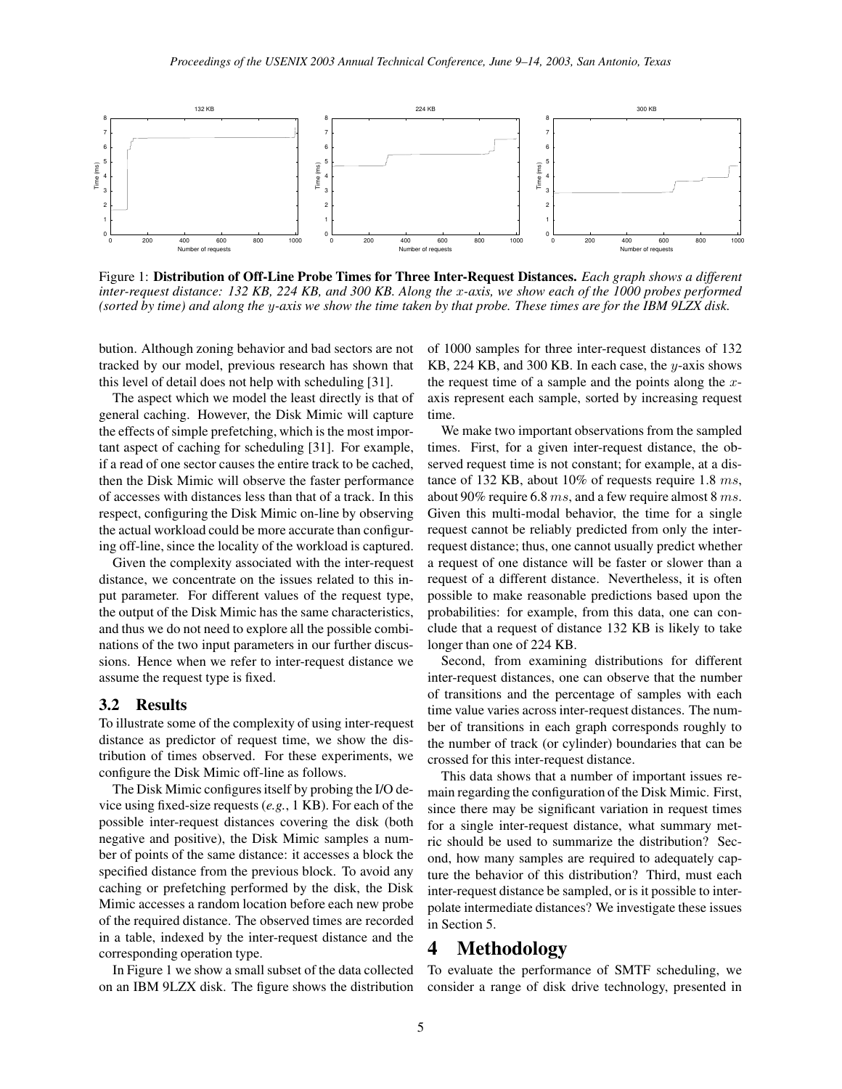

Figure 1: **Distribution of Off-Line Probe Times for Three Inter-Request Distances.** *Each graph shows a different* inter-request distance: 132 KB, 224 KB, and 300 KB. Along the x-axis, we show each of the 1000 probes performed (sorted by time) and along the y-axis we show the time taken by that probe. These times are for the IBM 9LZX disk.

bution. Although zoning behavior and bad sectors are not tracked by our model, previous research has shown that this level of detail does not help with scheduling [31].

The aspect which we model the least directly is that of general caching. However, the Disk Mimic will capture the effects of simple prefetching, which is the most important aspect of caching for scheduling [31]. For example, if a read of one sector causes the entire track to be cached, then the Disk Mimic will observe the faster performance of accesses with distances less than that of a track. In this respect, configuring the Disk Mimic on-line by observing the actual workload could be more accurate than configuring off-line, since the locality of the workload is captured.

Given the complexity associated with the inter-request distance, we concentrate on the issues related to this input parameter. For different values of the request type, the output of the Disk Mimic has the same characteristics, and thus we do not need to explore all the possible combinations of the two input parameters in our further discussions. Hence when we refer to inter-request distance we assume the request type is fixed.

#### **3.2 Results**

To illustrate some of the complexity of using inter-request distance as predictor of request time, we show the distribution of times observed. For these experiments, we configure the Disk Mimic off-line as follows.

The Disk Mimic configures itself by probing the I/O device using fixed-size requests (*e.g.*, 1 KB). For each of the possible inter-request distances covering the disk (both negative and positive), the Disk Mimic samples a number of points of the same distance: it accesses a block the specified distance from the previous block. To avoid any caching or prefetching performed by the disk, the Disk Mimic accesses a random location before each new probe of the required distance. The observed times are recorded in a table, indexed by the inter-request distance and the corresponding operation type.

In Figure 1 we show a small subset of the data collected on an IBM 9LZX disk. The figure shows the distribution of 1000 samples for three inter-request distances of 132 KB, 224 KB, and 300 KB. In each case, the y-axis shows the request time of a sample and the points along the  $x$ axis represent each sample, sorted by increasing request time.

We make two important observations from the sampled times. First, for a given inter-request distance, the observed request time is not constant; for example, at a distance of 132 KB, about 10% of requests require 1.8 ms, about 90% require 6.8 ms, and a few require almost 8 ms. Given this multi-modal behavior, the time for a single request cannot be reliably predicted from only the interrequest distance; thus, one cannot usually predict whether a request of one distance will be faster or slower than a request of a different distance. Nevertheless, it is often possible to make reasonable predictions based upon the probabilities: for example, from this data, one can conclude that a request of distance 132 KB is likely to take longer than one of 224 KB.

Second, from examining distributions for different inter-request distances, one can observe that the number of transitions and the percentage of samples with each time value varies across inter-request distances. The number of transitions in each graph corresponds roughly to the number of track (or cylinder) boundaries that can be crossed for this inter-request distance.

This data shows that a number of important issues remain regarding the configuration of the Disk Mimic. First, since there may be significant variation in request times for a single inter-request distance, what summary metric should be used to summarize the distribution? Second, how many samples are required to adequately capture the behavior of this distribution? Third, must each inter-request distance be sampled, or is it possible to interpolate intermediate distances? We investigate these issues in Section 5.

### **4 Methodology**

To evaluate the performance of SMTF scheduling, we consider a range of disk drive technology, presented in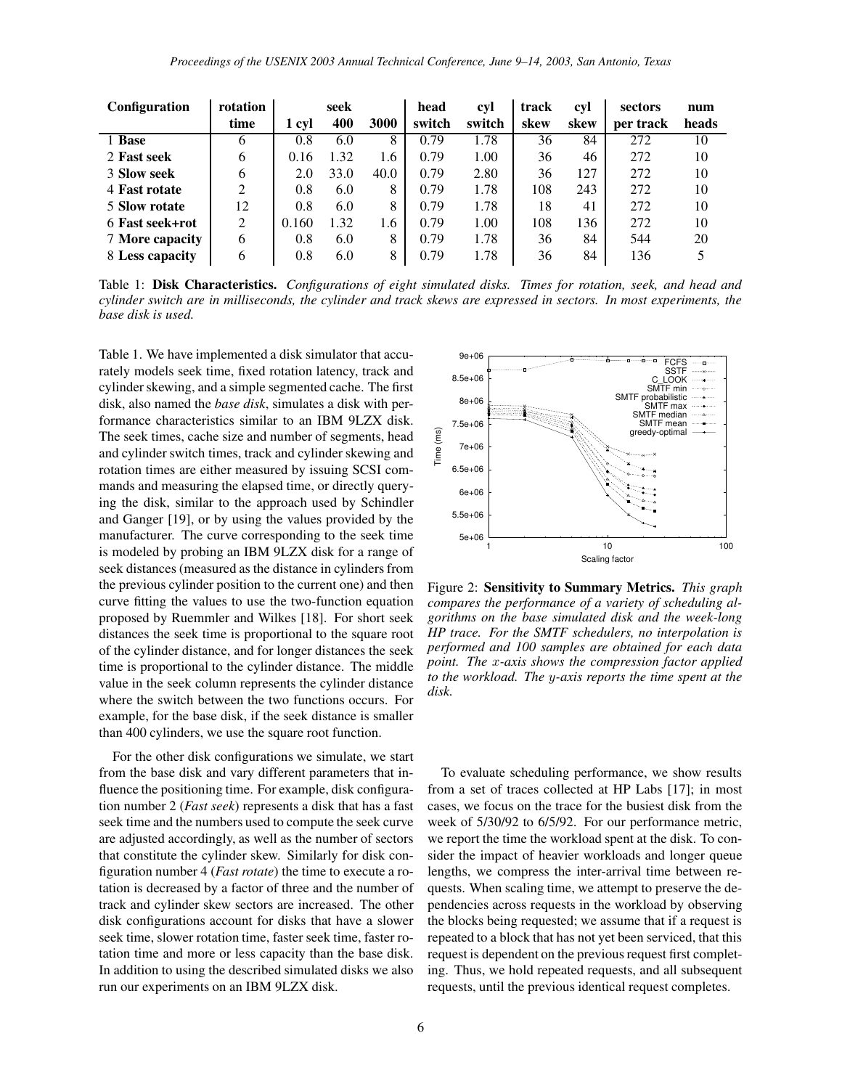| <b>Configuration</b>   | rotation     |       | seek |      | head   | cyl    | track | cyl  | sectors   | num   |
|------------------------|--------------|-------|------|------|--------|--------|-------|------|-----------|-------|
|                        | time         | 1 cyl | 400  | 3000 | switch | switch | skew  | skew | per track | heads |
| 1 Base                 | <sub>(</sub> | 0.8   | 6.0  | 8    | 0.79   | 1.78   | 36    | 84   | 272       | 10    |
| 2 Fast seek            | 6            | 0.16  | 1.32 | 1.6  | 0.79   | 1.00   | 36    | 46   | 272       | 10    |
| 3 Slow seek            | 6            | 2.0   | 33.0 | 40.0 | 0.79   | 2.80   | 36    | 127  | 272       | 10    |
| 4 Fast rotate          | ↑            | 0.8   | 6.0  | 8    | 0.79   | 1.78   | 108   | 243  | 272       | 10    |
| 5 Slow rotate          | 12           | 0.8   | 6.0  | 8    | 0.79   | 1.78   | 18    | 41   | 272       | 10    |
| 6 Fast seek+rot        | 2            | 0.160 | 1.32 | 1.6  | 0.79   | 1.00   | 108   | 136  | 272       | 10    |
| <b>7 More capacity</b> | 6            | 0.8   | 6.0  | 8    | 0.79   | 1.78   | 36    | 84   | 544       | 20    |
| 8 Less capacity        | 6            | 0.8   | 6.0  | 8    | 0.79   | 1.78   | 36    | 84   | 136       | 5     |

Table 1: **Disk Characteristics.** *Configurations of eight simulated disks. Times for rotation, seek, and head and* cylinder switch are in milliseconds, the cylinder and track skews are expressed in sectors. In most experiments, the *base disk is used.*

Table 1. We have implemented a disk simulator that accurately models seek time, fixed rotation latency, track and cylinder skewing, and a simple segmented cache. The first disk, also named the *base disk*, simulates a disk with performance characteristics similar to an IBM 9LZX disk. The seek times, cache size and number of segments, head and cylinder switch times, track and cylinder skewing and rotation times are either measured by issuing SCSI commands and measuring the elapsed time, or directly querying the disk, similar to the approach used by Schindler and Ganger [19], or by using the values provided by the manufacturer. The curve corresponding to the seek time is modeled by probing an IBM 9LZX disk for a range of seek distances (measured as the distance in cylinders from the previous cylinder position to the current one) and then curve fitting the values to use the two-function equation proposed by Ruemmler and Wilkes [18]. For short seek distances the seek time is proportional to the square root of the cylinder distance, and for longer distances the seek time is proportional to the cylinder distance. The middle value in the seek column represents the cylinder distance where the switch between the two functions occurs. For example, for the base disk, if the seek distance is smaller than 400 cylinders, we use the square root function.

For the other disk configurations we simulate, we start from the base disk and vary different parameters that influence the positioning time. For example, disk configuration number 2 (*Fast seek*) represents a disk that has a fast seek time and the numbers used to compute the seek curve are adjusted accordingly, as well as the number of sectors that constitute the cylinder skew. Similarly for disk configuration number 4 (*Fast rotate*) the time to execute a rotation is decreased by a factor of three and the number of track and cylinder skew sectors are increased. The other disk configurations account for disks that have a slower seek time, slower rotation time, faster seek time, faster rotation time and more or less capacity than the base disk. In addition to using the described simulated disks we also run our experiments on an IBM 9LZX disk.



Figure 2: **Sensitivity to Summary Metrics.** *This graph compares the performance of a variety of scheduling algorithms on the base simulated disk and the week-long HP trace. For the SMTF schedulers, no interpolation is performed and 100 samples are obtained for each data point. The* x*-axis shows the compression factor applied to the workload. The* y*-axis reports the time spent at the disk.*

To evaluate scheduling performance, we show results from a set of traces collected at HP Labs [17]; in most cases, we focus on the trace for the busiest disk from the week of 5/30/92 to 6/5/92. For our performance metric, we report the time the workload spent at the disk. To consider the impact of heavier workloads and longer queue lengths, we compress the inter-arrival time between requests. When scaling time, we attempt to preserve the dependencies across requests in the workload by observing the blocks being requested; we assume that if a request is repeated to a block that has not yet been serviced, that this request is dependent on the previous request first completing. Thus, we hold repeated requests, and all subsequent requests, until the previous identical request completes.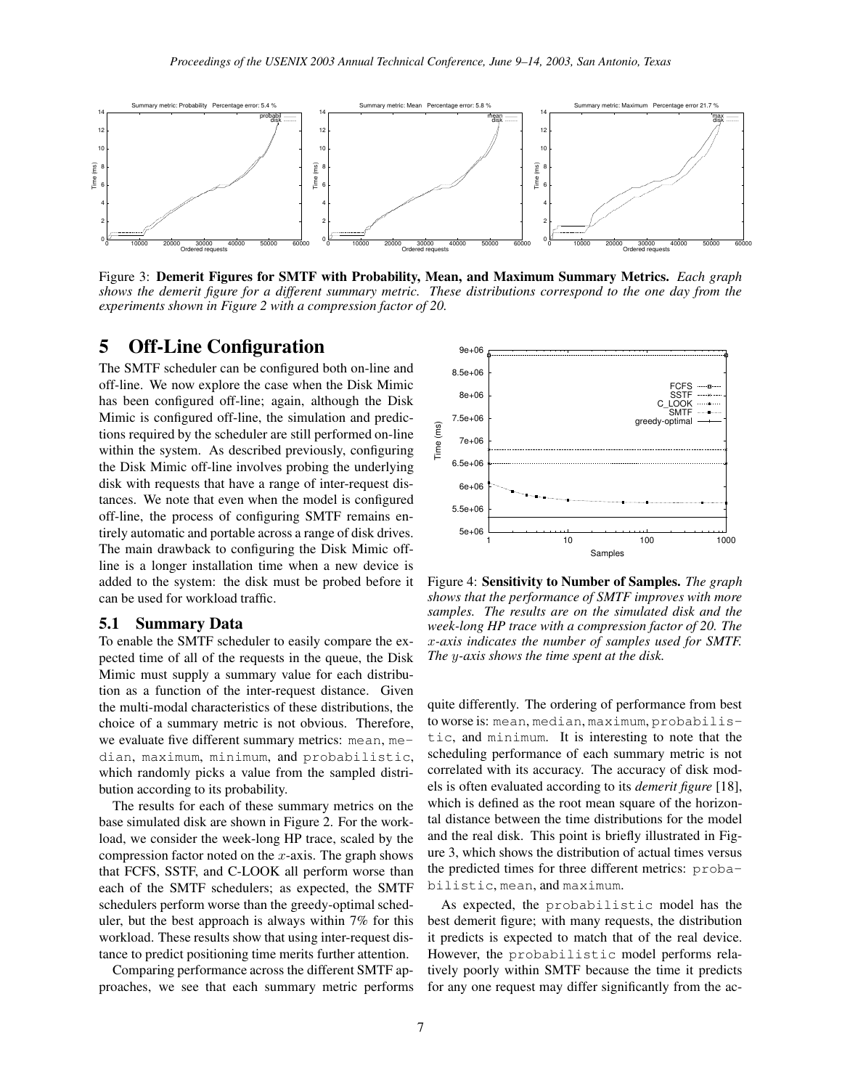

Figure 3: **Demerit Figures for SMTF with Probability, Mean, and Maximum Summary Metrics.** *Each graph* shows the demerit figure for a different summary metric. These distributions correspond to the one day from the *experiments shown in Figure 2 with a compression factor of 20.*

### **5 Off-Line Configuration**

The SMTF scheduler can be configured both on-line and off-line. We now explore the case when the Disk Mimic has been configured off-line; again, although the Disk Mimic is configured off-line, the simulation and predictions required by the scheduler are still performed on-line within the system. As described previously, configuring the Disk Mimic off-line involves probing the underlying disk with requests that have a range of inter-request distances. We note that even when the model is configured off-line, the process of configuring SMTF remains entirely automatic and portable across a range of disk drives. The main drawback to configuring the Disk Mimic offline is a longer installation time when a new device is added to the system: the disk must be probed before it can be used for workload traffic.

#### **5.1 Summary Data**

To enable the SMTF scheduler to easily compare the expected time of all of the requests in the queue, the Disk Mimic must supply a summary value for each distribution as a function of the inter-request distance. Given the multi-modal characteristics of these distributions, the choice of a summary metric is not obvious. Therefore, we evaluate five different summary metrics: mean, median, maximum, minimum, and probabilistic, which randomly picks a value from the sampled distribution according to its probability.

The results for each of these summary metrics on the base simulated disk are shown in Figure 2. For the workload, we consider the week-long HP trace, scaled by the compression factor noted on the  $x$ -axis. The graph shows that FCFS, SSTF, and C-LOOK all perform worse than each of the SMTF schedulers; as expected, the SMTF schedulers perform worse than the greedy-optimal scheduler, but the best approach is always within 7% for this workload. These results show that using inter-request distance to predict positioning time merits further attention.

Comparing performance across the different SMTF approaches, we see that each summary metric performs



Figure 4: **Sensitivity to Number of Samples.** *The graph shows that the performance of SMTF improves with more samples. The results are on the simulated disk and the week-long HP trace with a compression factor of 20. The* x*-axis indicates the number of samples used for SMTF. The* y*-axis shows the time spent at the disk.*

quite differently. The ordering of performance from best to worse is: mean, median, maximum, probabilistic, and minimum. It is interesting to note that the scheduling performance of each summary metric is not correlated with its accuracy. The accuracy of disk models is often evaluated according to its *demerit figure* [18], which is defined as the root mean square of the horizontal distance between the time distributions for the model and the real disk. This point is briefly illustrated in Figure 3, which shows the distribution of actual times versus the predicted times for three different metrics: probabilistic, mean, and maximum.

As expected, the probabilistic model has the best demerit figure; with many requests, the distribution it predicts is expected to match that of the real device. However, the probabilistic model performs relatively poorly within SMTF because the time it predicts for any one request may differ significantly from the ac-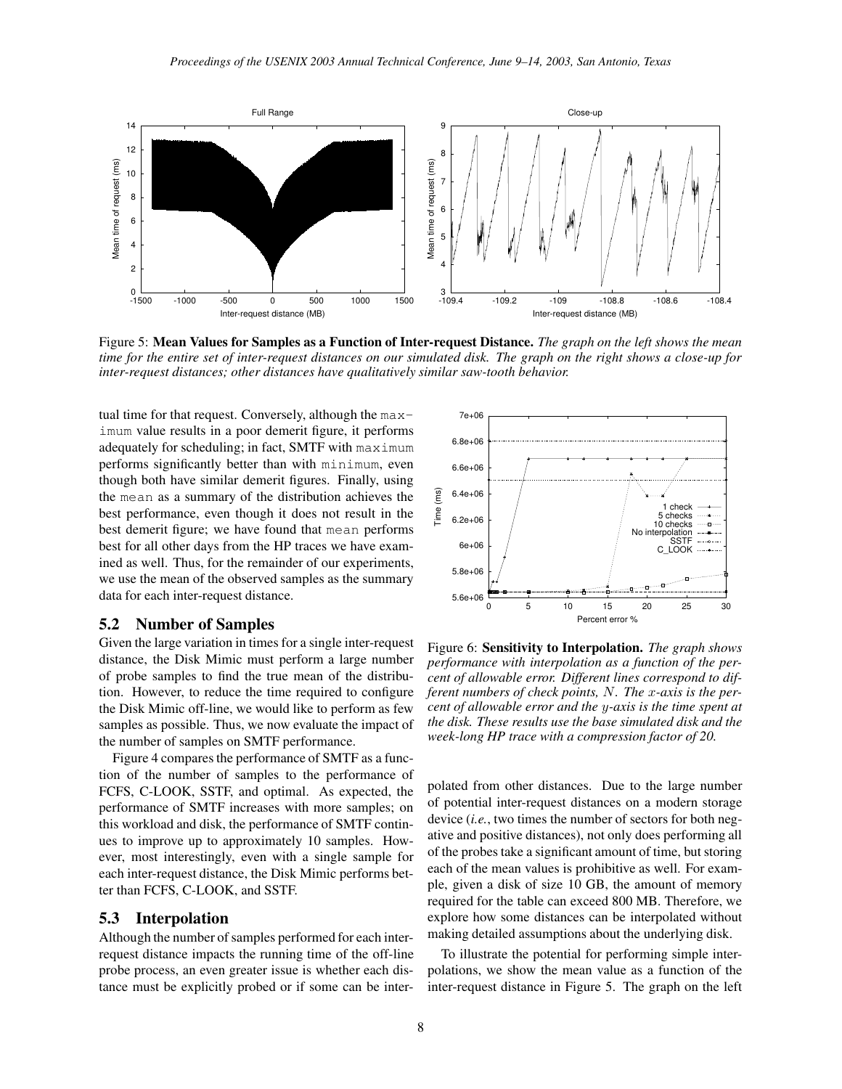

Figure 5: Mean Values for Samples as a Function of Inter-request Distance. The graph on the left shows the mean time for the entire set of inter-request distances on our simulated disk. The graph on the right shows a close-up for *inter-request distances; other distances have qualitatively similar saw-tooth behavior.*

tual time for that request. Conversely, although the maximum value results in a poor demerit figure, it performs adequately for scheduling; in fact, SMTF with maximum performs significantly better than with minimum, even though both have similar demerit figures. Finally, using the mean as a summary of the distribution achieves the best performance, even though it does not result in the best demerit figure; we have found that mean performs best for all other days from the HP traces we have examined as well. Thus, for the remainder of our experiments, we use the mean of the observed samples as the summary data for each inter-request distance.

#### **5.2 Number of Samples**

Given the large variation in times for a single inter-request distance, the Disk Mimic must perform a large number of probe samples to find the true mean of the distribution. However, to reduce the time required to configure the Disk Mimic off-line, we would like to perform as few samples as possible. Thus, we now evaluate the impact of the number of samples on SMTF performance.

Figure 4 compares the performance of SMTF as a function of the number of samples to the performance of FCFS, C-LOOK, SSTF, and optimal. As expected, the performance of SMTF increases with more samples; on this workload and disk, the performance of SMTF continues to improve up to approximately 10 samples. However, most interestingly, even with a single sample for each inter-request distance, the Disk Mimic performs better than FCFS, C-LOOK, and SSTF.

#### **5.3 Interpolation**

Although the number of samples performed for each interrequest distance impacts the running time of the off-line probe process, an even greater issue is whether each distance must be explicitly probed or if some can be inter-



Figure 6: **Sensitivity to Interpolation.** *The graph shows performance with interpolation as a function of the percent of allowable error. Different lines correspond to different numbers of check points,* N*. The* x*-axis is the percent of allowable error and the* y*-axis is the time spent at the disk. These results use the base simulated disk and the week-long HP trace with a compression factor of 20.*

polated from other distances. Due to the large number of potential inter-request distances on a modern storage device (*i.e.*, two times the number of sectors for both negative and positive distances), not only does performing all of the probes take a significant amount of time, but storing each of the mean values is prohibitive as well. For example, given a disk of size 10 GB, the amount of memory required for the table can exceed 800 MB. Therefore, we explore how some distances can be interpolated without making detailed assumptions about the underlying disk.

To illustrate the potential for performing simple interpolations, we show the mean value as a function of the inter-request distance in Figure 5. The graph on the left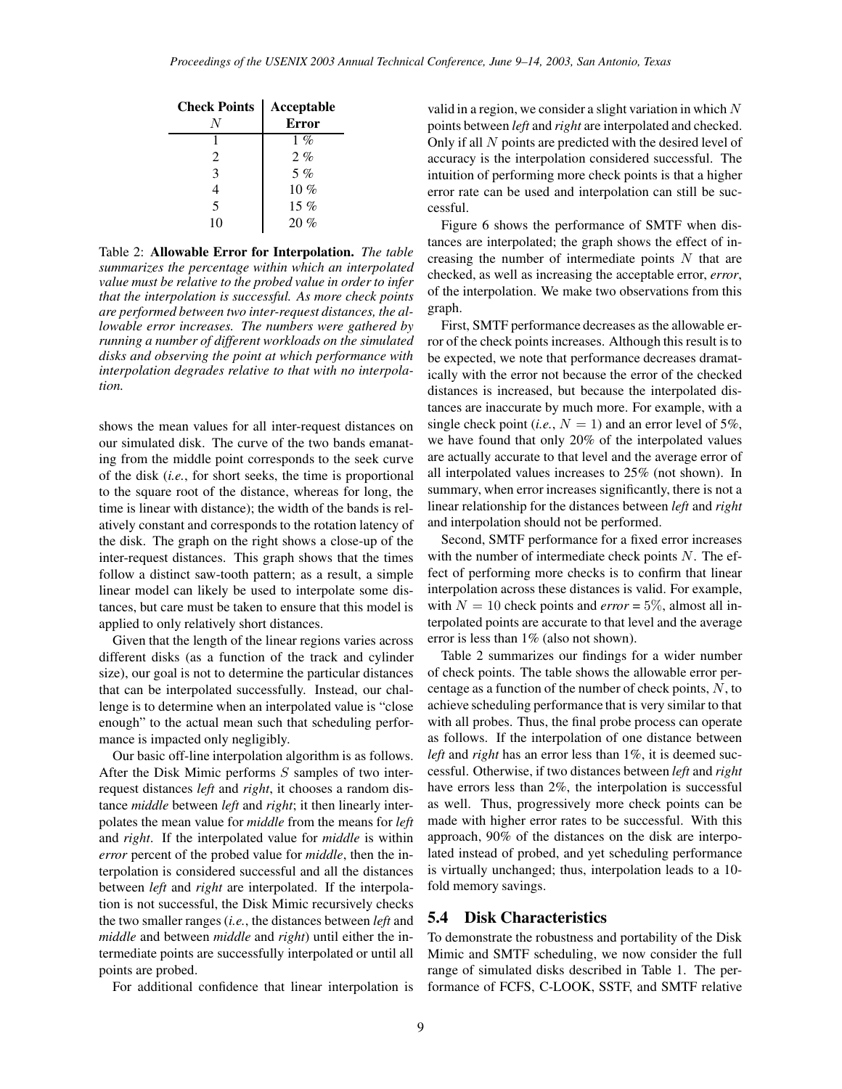| <b>Check Points</b> | Acceptable<br><b>Error</b> |
|---------------------|----------------------------|
|                     | $1\%$                      |
| 2                   | $2. \%$                    |
| 3                   | $5\%$                      |
|                     | $10 \%$                    |
| 5                   | $15\%$                     |
| 10                  | 20%                        |

Table 2: **Allowable Error for Interpolation.** *The table summarizes the percentage within which an interpolated value must be relative to the probed value in order to infer that the interpolation is successful. As more check points are performed between two inter-request distances, the allowable error increases. The numbers were gathered by running a number of different workloads on the simulated disks and observing the point at which performance with interpolation degrades relative to that with no interpolation.*

shows the mean values for all inter-request distances on our simulated disk. The curve of the two bands emanating from the middle point corresponds to the seek curve of the disk (*i.e.*, for short seeks, the time is proportional to the square root of the distance, whereas for long, the time is linear with distance); the width of the bands is relatively constant and corresponds to the rotation latency of the disk. The graph on the right shows a close-up of the inter-request distances. This graph shows that the times follow a distinct saw-tooth pattern; as a result, a simple linear model can likely be used to interpolate some distances, but care must be taken to ensure that this model is applied to only relatively short distances.

Given that the length of the linear regions varies across different disks (as a function of the track and cylinder size), our goal is not to determine the particular distances that can be interpolated successfully. Instead, our challenge is to determine when an interpolated value is "close enough" to the actual mean such that scheduling performance is impacted only negligibly.

Our basic off-line interpolation algorithm is as follows. After the Disk Mimic performs S samples of two interrequest distances *left* and *right*, it chooses a random distance *middle* between *left* and *right*; it then linearly interpolates the mean value for *middle* from the means for *left* and *right*. If the interpolated value for *middle* is within *error* percent of the probed value for *middle*, then the interpolation is considered successful and all the distances between *left* and *right* are interpolated. If the interpolation is not successful, the Disk Mimic recursively checks the two smaller ranges (*i.e.*, the distances between *left* and *middle* and between *middle* and *right*) until either the intermediate points are successfully interpolated or until all points are probed.

For additional confidence that linear interpolation is

valid in a region, we consider a slight variation in which  $N$ points between *left* and *right* are interpolated and checked. Only if all N points are predicted with the desired level of accuracy is the interpolation considered successful. The intuition of performing more check points is that a higher error rate can be used and interpolation can still be successful.

Figure 6 shows the performance of SMTF when distances are interpolated; the graph shows the effect of increasing the number of intermediate points  $N$  that are checked, as well as increasing the acceptable error, *error*, of the interpolation. We make two observations from this graph.

First, SMTF performance decreases as the allowable error of the check points increases. Although this result is to be expected, we note that performance decreases dramatically with the error not because the error of the checked distances is increased, but because the interpolated distances are inaccurate by much more. For example, with a single check point (*i.e.*,  $N = 1$ ) and an error level of 5%, we have found that only 20% of the interpolated values are actually accurate to that level and the average error of all interpolated values increases to 25% (not shown). In summary, when error increases significantly, there is not a linear relationship for the distances between *left* and *right* and interpolation should not be performed.

Second, SMTF performance for a fixed error increases with the number of intermediate check points  $N$ . The effect of performing more checks is to confirm that linear interpolation across these distances is valid. For example, with  $N = 10$  check points and *error* = 5%, almost all interpolated points are accurate to that level and the average error is less than 1% (also not shown).

Table 2 summarizes our findings for a wider number of check points. The table shows the allowable error percentage as a function of the number of check points, N, to achieve scheduling performance that is very similar to that with all probes. Thus, the final probe process can operate as follows. If the interpolation of one distance between *left* and *right* has an error less than 1%, it is deemed successful. Otherwise, if two distances between *left* and *right* have errors less than 2%, the interpolation is successful as well. Thus, progressively more check points can be made with higher error rates to be successful. With this approach, 90% of the distances on the disk are interpolated instead of probed, and yet scheduling performance is virtually unchanged; thus, interpolation leads to a 10 fold memory savings.

### **5.4 Disk Characteristics**

To demonstrate the robustness and portability of the Disk Mimic and SMTF scheduling, we now consider the full range of simulated disks described in Table 1. The performance of FCFS, C-LOOK, SSTF, and SMTF relative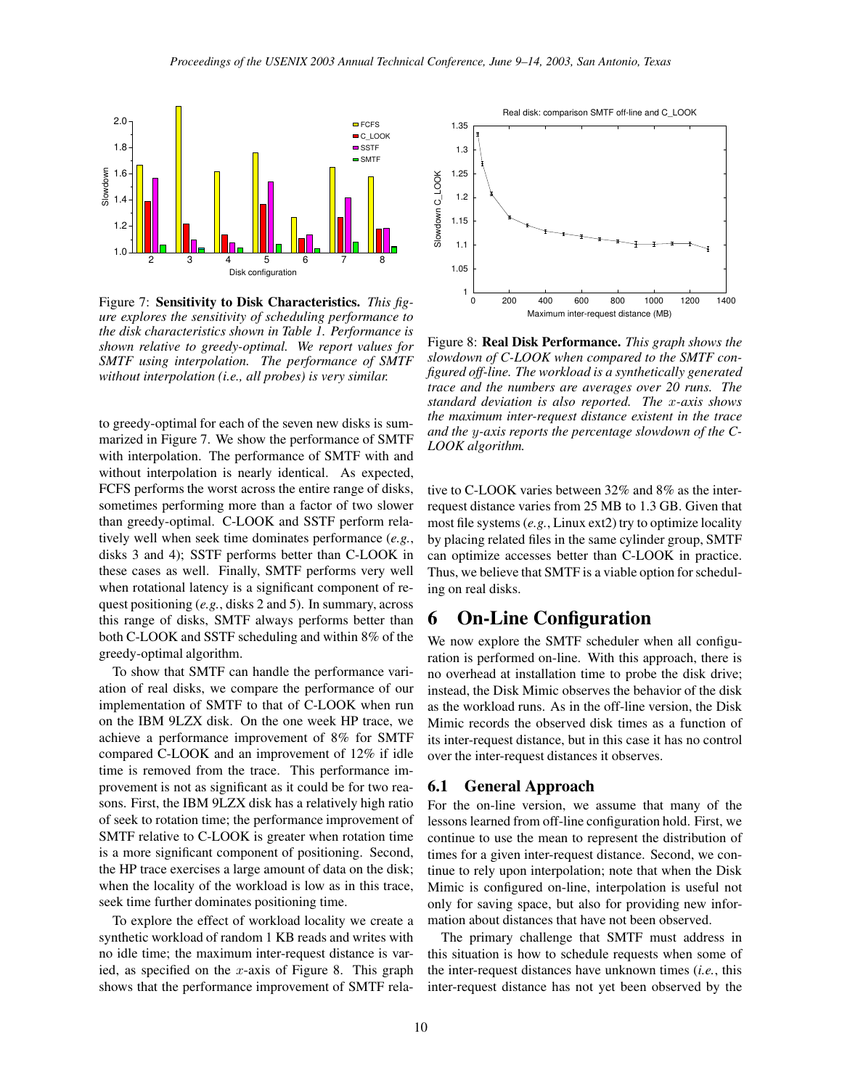

Figure 7: **Sensitivity to Disk Characteristics.** *This figure explores the sensitivity of scheduling performance to the disk characteristics shown in Table 1. Performance is shown relative to greedy-optimal. We report values for SMTF using interpolation. The performance of SMTF without interpolation (i.e., all probes) is very similar.*

to greedy-optimal for each of the seven new disks is summarized in Figure 7. We show the performance of SMTF with interpolation. The performance of SMTF with and without interpolation is nearly identical. As expected, FCFS performs the worst across the entire range of disks, sometimes performing more than a factor of two slower than greedy-optimal. C-LOOK and SSTF perform relatively well when seek time dominates performance (*e.g.*, disks 3 and 4); SSTF performs better than C-LOOK in these cases as well. Finally, SMTF performs very well when rotational latency is a significant component of request positioning (*e.g.*, disks 2 and 5). In summary, across this range of disks, SMTF always performs better than both C-LOOK and SSTF scheduling and within 8% of the greedy-optimal algorithm.

To show that SMTF can handle the performance variation of real disks, we compare the performance of our implementation of SMTF to that of C-LOOK when run on the IBM 9LZX disk. On the one week HP trace, we achieve a performance improvement of 8% for SMTF compared C-LOOK and an improvement of 12% if idle time is removed from the trace. This performance improvement is not as significant as it could be for two reasons. First, the IBM 9LZX disk has a relatively high ratio of seek to rotation time; the performance improvement of SMTF relative to C-LOOK is greater when rotation time is a more significant component of positioning. Second, the HP trace exercises a large amount of data on the disk; when the locality of the workload is low as in this trace, seek time further dominates positioning time.

To explore the effect of workload locality we create a synthetic workload of random 1 KB reads and writes with no idle time; the maximum inter-request distance is varied, as specified on the x-axis of Figure 8. This graph shows that the performance improvement of SMTF rela-



Figure 8: **Real Disk Performance.** *This graph shows the slowdown of C-LOOK when compared to the SMTF configured off-line. The workload is a synthetically generated trace and the numbers are averages over 20 runs. The standard deviation is also reported. The* x*-axis shows the maximum inter-request distance existent in the trace and the* y*-axis reports the percentage slowdown of the C-LOOK algorithm.*

tive to C-LOOK varies between 32% and 8% as the interrequest distance varies from 25 MB to 1.3 GB. Given that most file systems (*e.g.*, Linux ext2) try to optimize locality by placing related files in the same cylinder group, SMTF can optimize accesses better than C-LOOK in practice. Thus, we believe that SMTF is a viable option for scheduling on real disks.

## **6 On-Line Configuration**

We now explore the SMTF scheduler when all configuration is performed on-line. With this approach, there is no overhead at installation time to probe the disk drive; instead, the Disk Mimic observes the behavior of the disk as the workload runs. As in the off-line version, the Disk Mimic records the observed disk times as a function of its inter-request distance, but in this case it has no control over the inter-request distances it observes.

#### **6.1 General Approach**

For the on-line version, we assume that many of the lessons learned from off-line configuration hold. First, we continue to use the mean to represent the distribution of times for a given inter-request distance. Second, we continue to rely upon interpolation; note that when the Disk Mimic is configured on-line, interpolation is useful not only for saving space, but also for providing new information about distances that have not been observed.

The primary challenge that SMTF must address in this situation is how to schedule requests when some of the inter-request distances have unknown times (*i.e.*, this inter-request distance has not yet been observed by the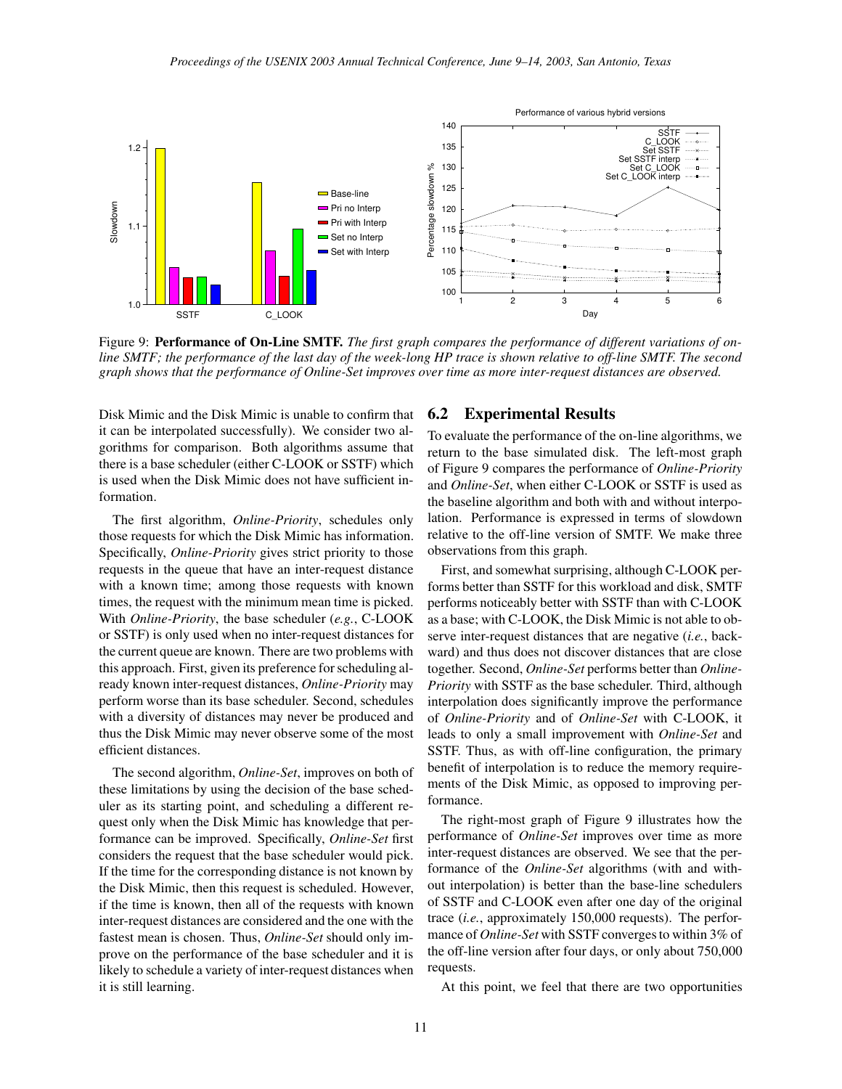

Figure 9: **Performance of On-Line SMTF.** *The first graph compares the performance of different variations of on*line SMTF; the performance of the last day of the week-long HP trace is shown relative to off-line SMTF. The second *graph shows that the performance of Online-Set improves over time as more inter-request distances are observed.*

Disk Mimic and the Disk Mimic is unable to confirm that it can be interpolated successfully). We consider two algorithms for comparison. Both algorithms assume that there is a base scheduler (either C-LOOK or SSTF) which is used when the Disk Mimic does not have sufficient information.

The first algorithm, *Online-Priority*, schedules only those requests for which the Disk Mimic has information. Specifically, *Online-Priority* gives strict priority to those requests in the queue that have an inter-request distance with a known time; among those requests with known times, the request with the minimum mean time is picked. With *Online-Priority*, the base scheduler (*e.g.*, C-LOOK or SSTF) is only used when no inter-request distances for the current queue are known. There are two problems with this approach. First, given its preference forscheduling already known inter-request distances, *Online-Priority* may perform worse than its base scheduler. Second, schedules with a diversity of distances may never be produced and thus the Disk Mimic may never observe some of the most efficient distances.

The second algorithm, *Online-Set*, improves on both of these limitations by using the decision of the base scheduler as its starting point, and scheduling a different request only when the Disk Mimic has knowledge that performance can be improved. Specifically, *Online-Set* first considers the request that the base scheduler would pick. If the time for the corresponding distance is not known by the Disk Mimic, then this request is scheduled. However, if the time is known, then all of the requests with known inter-request distances are considered and the one with the fastest mean is chosen. Thus, *Online-Set* should only improve on the performance of the base scheduler and it is likely to schedule a variety of inter-request distances when it is still learning.

### **6.2 Experimental Results**

To evaluate the performance of the on-line algorithms, we return to the base simulated disk. The left-most graph of Figure 9 compares the performance of *Online-Priority* and *Online-Set*, when either C-LOOK or SSTF is used as the baseline algorithm and both with and without interpolation. Performance is expressed in terms of slowdown relative to the off-line version of SMTF. We make three observations from this graph.

First, and somewhat surprising, although C-LOOK performs better than SSTF for this workload and disk, SMTF performs noticeably better with SSTF than with C-LOOK as a base; with C-LOOK, the Disk Mimic is not able to observe inter-request distances that are negative (*i.e.*, backward) and thus does not discover distances that are close together. Second, *Online-Set* performs better than *Online-Priority* with SSTF as the base scheduler. Third, although interpolation does significantly improve the performance of *Online-Priority* and of *Online-Set* with C-LOOK, it leads to only a small improvement with *Online-Set* and SSTF. Thus, as with off-line configuration, the primary benefit of interpolation is to reduce the memory requirements of the Disk Mimic, as opposed to improving performance.

The right-most graph of Figure 9 illustrates how the performance of *Online-Set* improves over time as more inter-request distances are observed. We see that the performance of the *Online-Set* algorithms (with and without interpolation) is better than the base-line schedulers of SSTF and C-LOOK even after one day of the original trace (*i.e.*, approximately 150,000 requests). The performance of *Online-Set* with SSTF converges to within 3% of the off-line version after four days, or only about 750,000 requests.

At this point, we feel that there are two opportunities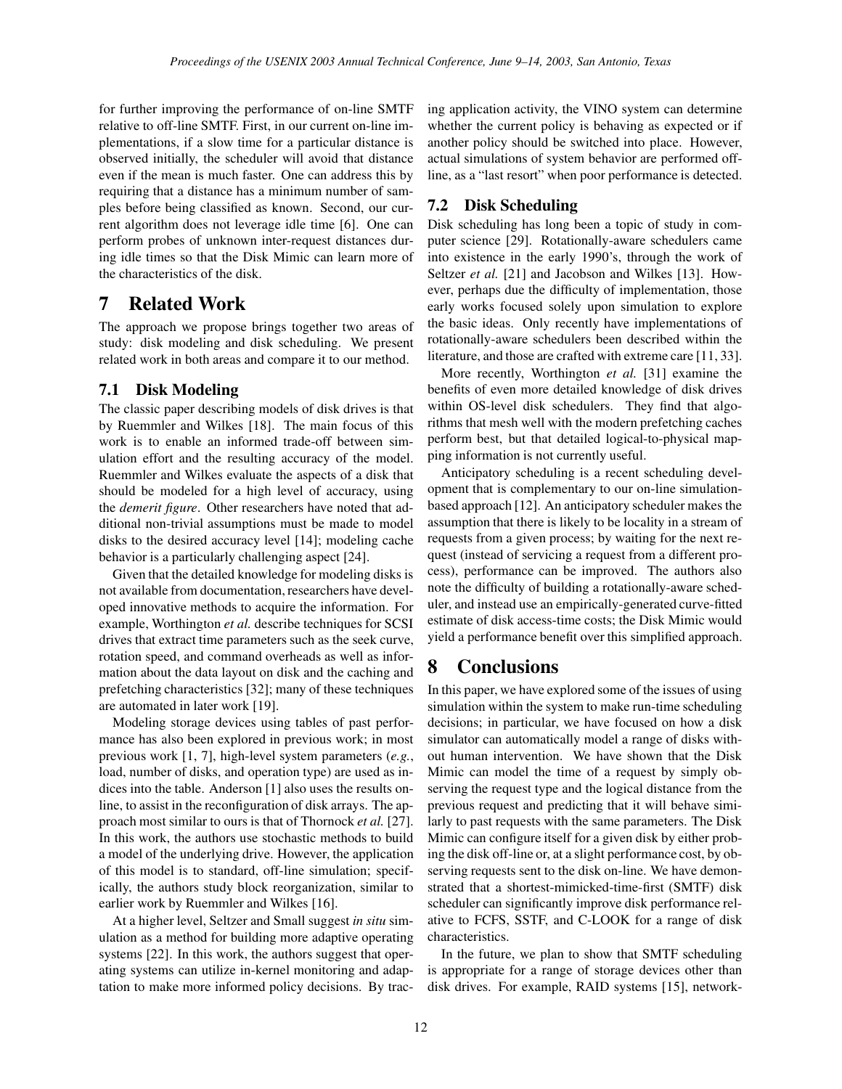for further improving the performance of on-line SMTF relative to off-line SMTF. First, in our current on-line implementations, if a slow time for a particular distance is observed initially, the scheduler will avoid that distance even if the mean is much faster. One can address this by requiring that a distance has a minimum number of samples before being classified as known. Second, our current algorithm does not leverage idle time [6]. One can perform probes of unknown inter-request distances during idle times so that the Disk Mimic can learn more of the characteristics of the disk.

## **7 Related Work**

The approach we propose brings together two areas of study: disk modeling and disk scheduling. We present related work in both areas and compare it to our method.

### **7.1 Disk Modeling**

The classic paper describing models of disk drives is that by Ruemmler and Wilkes [18]. The main focus of this work is to enable an informed trade-off between simulation effort and the resulting accuracy of the model. Ruemmler and Wilkes evaluate the aspects of a disk that should be modeled for a high level of accuracy, using the *demerit figure*. Other researchers have noted that additional non-trivial assumptions must be made to model disks to the desired accuracy level [14]; modeling cache behavior is a particularly challenging aspect [24].

Given that the detailed knowledge for modeling disks is not available from documentation, researchers have developed innovative methods to acquire the information. For example, Worthington *et al.* describe techniques for SCSI drives that extract time parameters such as the seek curve, rotation speed, and command overheads as well as information about the data layout on disk and the caching and prefetching characteristics [32]; many of these techniques are automated in later work [19].

Modeling storage devices using tables of past performance has also been explored in previous work; in most previous work [1, 7], high-level system parameters (*e.g.*, load, number of disks, and operation type) are used as indices into the table. Anderson [1] also uses the results online, to assist in the reconfiguration of disk arrays. The approach most similar to ours is that of Thornock *et al.* [27]. In this work, the authors use stochastic methods to build a model of the underlying drive. However, the application of this model is to standard, off-line simulation; specifically, the authors study block reorganization, similar to earlier work by Ruemmler and Wilkes [16].

At a higher level, Seltzer and Small suggest *in situ* simulation as a method for building more adaptive operating systems [22]. In this work, the authors suggest that operating systems can utilize in-kernel monitoring and adaptation to make more informed policy decisions. By tracing application activity, the VINO system can determine whether the current policy is behaving as expected or if another policy should be switched into place. However, actual simulations of system behavior are performed offline, as a "last resort" when poor performance is detected.

### **7.2 Disk Scheduling**

Disk scheduling has long been a topic of study in computer science [29]. Rotationally-aware schedulers came into existence in the early 1990's, through the work of Seltzer *et al.* [21] and Jacobson and Wilkes [13]. However, perhaps due the difficulty of implementation, those early works focused solely upon simulation to explore the basic ideas. Only recently have implementations of rotationally-aware schedulers been described within the literature, and those are crafted with extreme care [11, 33].

More recently, Worthington *et al.* [31] examine the benefits of even more detailed knowledge of disk drives within OS-level disk schedulers. They find that algorithms that mesh well with the modern prefetching caches perform best, but that detailed logical-to-physical mapping information is not currently useful.

Anticipatory scheduling is a recent scheduling development that is complementary to our on-line simulationbased approach [12]. An anticipatory scheduler makes the assumption that there is likely to be locality in a stream of requests from a given process; by waiting for the next request (instead of servicing a request from a different process), performance can be improved. The authors also note the difficulty of building a rotationally-aware scheduler, and instead use an empirically-generated curve-fitted estimate of disk access-time costs; the Disk Mimic would yield a performance benefit over this simplified approach.

## **8 Conclusions**

In this paper, we have explored some of the issues of using simulation within the system to make run-time scheduling decisions; in particular, we have focused on how a disk simulator can automatically model a range of disks without human intervention. We have shown that the Disk Mimic can model the time of a request by simply observing the request type and the logical distance from the previous request and predicting that it will behave similarly to past requests with the same parameters. The Disk Mimic can configure itself for a given disk by either probing the disk off-line or, at a slight performance cost, by observing requests sent to the disk on-line. We have demonstrated that a shortest-mimicked-time-first (SMTF) disk scheduler can significantly improve disk performance relative to FCFS, SSTF, and C-LOOK for a range of disk characteristics.

In the future, we plan to show that SMTF scheduling is appropriate for a range of storage devices other than disk drives. For example, RAID systems [15], network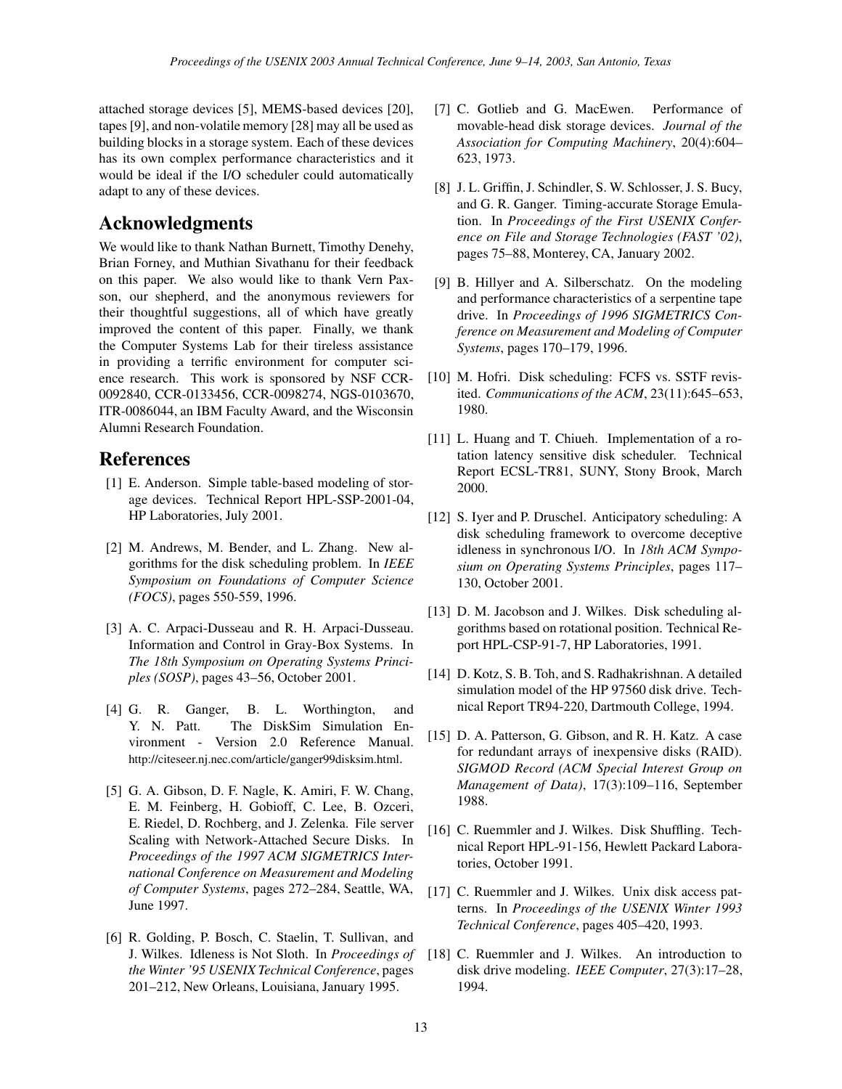attached storage devices [5], MEMS-based devices [20], tapes [9], and non-volatile memory [28] may all be used as building blocks in a storage system. Each of these devices has its own complex performance characteristics and it would be ideal if the I/O scheduler could automatically adapt to any of these devices.

## **Acknowledgments**

We would like to thank Nathan Burnett, Timothy Denehy, Brian Forney, and Muthian Sivathanu for their feedback on this paper. We also would like to thank Vern Paxson, our shepherd, and the anonymous reviewers for their thoughtful suggestions, all of which have greatly improved the content of this paper. Finally, we thank the Computer Systems Lab for their tireless assistance in providing a terrific environment for computer science research. This work is sponsored by NSF CCR-0092840, CCR-0133456, CCR-0098274, NGS-0103670, ITR-0086044, an IBM Faculty Award, and the Wisconsin Alumni Research Foundation.

### **References**

- [1] E. Anderson. Simple table-based modeling of storage devices. Technical Report HPL-SSP-2001-04, HP Laboratories, July 2001.
- [2] M. Andrews, M. Bender, and L. Zhang. New algorithms for the disk scheduling problem. In *IEEE Symposium on Foundations of Computer Science (FOCS)*, pages 550-559, 1996.
- [3] A. C. Arpaci-Dusseau and R. H. Arpaci-Dusseau. Information and Control in Gray-Box Systems. In *The 18th Symposium on Operating Systems Principles (SOSP)*, pages 43–56, October 2001.
- [4] G. R. Ganger, B. L. Worthington, and Y. N. Patt. The DiskSim Simulation Environment - Version 2.0 Reference Manual. http://citeseer.nj.nec.com/article/ganger99disksim.html.
- [5] G. A. Gibson, D. F. Nagle, K. Amiri, F. W. Chang, E. M. Feinberg, H. Gobioff, C. Lee, B. Ozceri, E. Riedel, D. Rochberg, and J. Zelenka. File server Scaling with Network-Attached Secure Disks. In *Proceedings of the 1997 ACM SIGMETRICS International Conference on Measurement and Modeling of Computer Systems*, pages 272–284, Seattle, WA, June 1997.
- [6] R. Golding, P. Bosch, C. Staelin, T. Sullivan, and J. Wilkes. Idleness is Not Sloth. In *Proceedings of the Winter '95 USENIX Technical Conference*, pages 201–212, New Orleans, Louisiana, January 1995.
- [7] C. Gotlieb and G. MacEwen. Performance of movable-head disk storage devices. *Journal of the Association for Computing Machinery*, 20(4):604– 623, 1973.
- [8] J. L. Griffin, J. Schindler, S. W. Schlosser, J. S. Bucy, and G. R. Ganger. Timing-accurate Storage Emulation. In *Proceedings of the First USENIX Conference on File and Storage Technologies (FAST '02)*, pages 75–88, Monterey, CA, January 2002.
- [9] B. Hillyer and A. Silberschatz. On the modeling and performance characteristics of a serpentine tape drive. In *Proceedings of 1996 SIGMETRICS Conference on Measurement and Modeling of Computer Systems*, pages 170–179, 1996.
- [10] M. Hofri. Disk scheduling: FCFS vs. SSTF revisited. *Communications of the ACM*, 23(11):645–653, 1980.
- [11] L. Huang and T. Chiueh. Implementation of a rotation latency sensitive disk scheduler. Technical Report ECSL-TR81, SUNY, Stony Brook, March 2000.
- [12] S. Iyer and P. Druschel. Anticipatory scheduling: A disk scheduling framework to overcome deceptive idleness in synchronous I/O. In *18th ACM Symposium on Operating Systems Principles*, pages 117– 130, October 2001.
- [13] D. M. Jacobson and J. Wilkes. Disk scheduling algorithms based on rotational position. Technical Report HPL-CSP-91-7, HP Laboratories, 1991.
- [14] D. Kotz, S. B. Toh, and S. Radhakrishnan. A detailed simulation model of the HP 97560 disk drive. Technical Report TR94-220, Dartmouth College, 1994.
- [15] D. A. Patterson, G. Gibson, and R. H. Katz. A case for redundant arrays of inexpensive disks (RAID). *SIGMOD Record (ACM Special Interest Group on Management of Data)*, 17(3):109–116, September 1988.
- [16] C. Ruemmler and J. Wilkes. Disk Shuffling. Technical Report HPL-91-156, Hewlett Packard Laboratories, October 1991.
- [17] C. Ruemmler and J. Wilkes. Unix disk access patterns. In *Proceedings of the USENIX Winter 1993 Technical Conference*, pages 405–420, 1993.
- [18] C. Ruemmler and J. Wilkes. An introduction to disk drive modeling. *IEEE Computer*, 27(3):17–28, 1994.